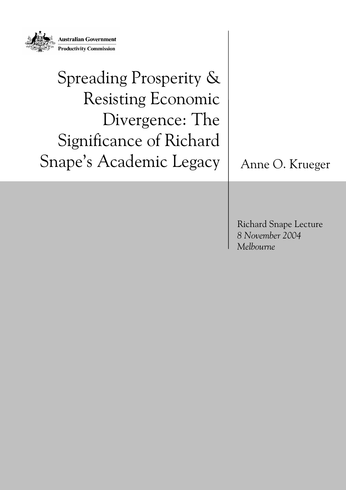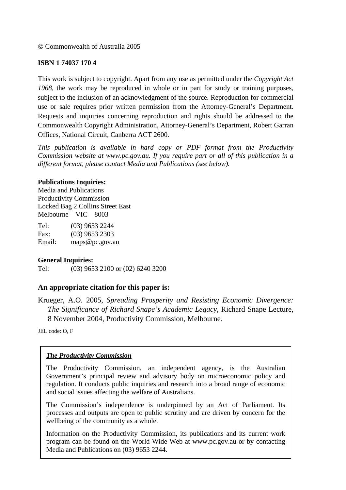© Commonwealth of Australia 2005

#### **ISBN 1 74037 170 4**

This work is subject to copyright. Apart from any use as permitted under the *Copyright Act 1968*, the work may be reproduced in whole or in part for study or training purposes, subject to the inclusion of an acknowledgment of the source. Reproduction for commercial use or sale requires prior written permission from the Attorney-General's Department. Requests and inquiries concerning reproduction and rights should be addressed to the Commonwealth Copyright Administration, Attorney-General's Department, Robert Garran Offices, National Circuit, Canberra ACT 2600.

*This publication is available in hard copy or PDF format from the Productivity Commission website at www.pc.gov.au. If you require part or all of this publication in a different format, please contact Media and Publications (see below).* 

#### **Publications Inquiries:**

Media and Publications Productivity Commission Locked Bag 2 Collins Street East Melbourne VIC 8003

Tel: (03) 9653 2244 Fax: (03) 9653 2303 Email: maps@pc.gov.au

#### **General Inquiries:**

Tel: (03) 9653 2100 or (02) 6240 3200

#### **An appropriate citation for this paper is:**

Krueger, A.O. 2005, *Spreading Prosperity and Resisting Economic Divergence: The Significance of Richard Snape's Academic Legacy*, Richard Snape Lecture, 8 November 2004, Productivity Commission, Melbourne.

JEL code: O, F

#### *The Productivity Commission*

The Productivity Commission, an independent agency, is the Australian Government's principal review and advisory body on microeconomic policy and regulation. It conducts public inquiries and research into a broad range of economic and social issues affecting the welfare of Australians.

The Commission's independence is underpinned by an Act of Parliament. Its processes and outputs are open to public scrutiny and are driven by concern for the wellbeing of the community as a whole.

Information on the Productivity Commission, its publications and its current work program can be found on the World Wide Web at www.pc.gov.au or by contacting Media and Publications on (03) 9653 2244.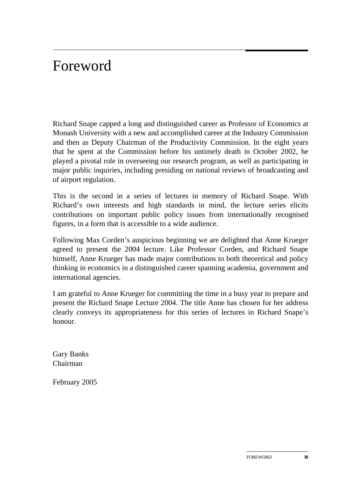# Foreword

Richard Snape capped a long and distinguished career as Professor of Economics at Monash University with a new and accomplished career at the Industry Commission and then as Deputy Chairman of the Productivity Commission. In the eight years that he spent at the Commission before his untimely death in October 2002, he played a pivotal role in overseeing our research program, as well as participating in major public inquiries, including presiding on national reviews of broadcasting and of airport regulation.

This is the second in a series of lectures in memory of Richard Snape. With Richard's own interests and high standards in mind, the lecture series elicits contributions on important public policy issues from internationally recognised figures, in a form that is accessible to a wide audience.

Following Max Corden's auspicious beginning we are delighted that Anne Krueger agreed to present the 2004 lecture. Like Professor Corden, and Richard Snape himself, Anne Krueger has made major contributions to both theoretical and policy thinking in economics in a distinguished career spanning academia, government and international agencies.

I am grateful to Anne Krueger for committing the time in a busy year to prepare and present the Richard Snape Lecture 2004. The title Anne has chosen for her address clearly conveys its appropriateness for this series of lectures in Richard Snape's honour.

Gary Banks Chairman

February 2005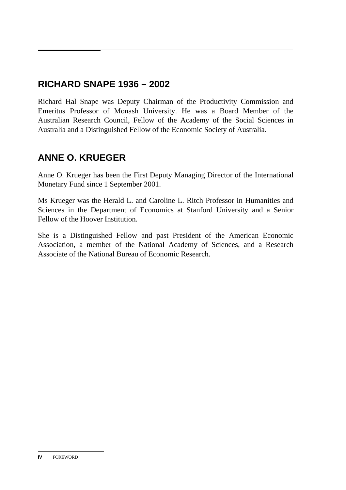# **RICHARD SNAPE 1936 – 2002**

Richard Hal Snape was Deputy Chairman of the Productivity Commission and Emeritus Professor of Monash University. He was a Board Member of the Australian Research Council, Fellow of the Academy of the Social Sciences in Australia and a Distinguished Fellow of the Economic Society of Australia.

## **ANNE O. KRUEGER**

Anne O. Krueger has been the First Deputy Managing Director of the International Monetary Fund since 1 September 2001.

Ms Krueger was the Herald L. and Caroline L. Ritch Professor in Humanities and Sciences in the Department of Economics at Stanford University and a Senior Fellow of the Hoover Institution.

She is a Distinguished Fellow and past President of the American Economic Association, a member of the National Academy of Sciences, and a Research Associate of the National Bureau of Economic Research.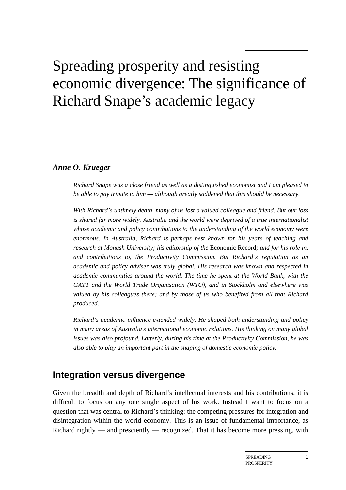# Spreading prosperity and resisting economic divergence: The significance of Richard Snape's academic legacy

#### *Anne O. Krueger*

*Richard Snape was a close friend as well as a distinguished economist and I am pleased to be able to pay tribute to him — although greatly saddened that this should be necessary.* 

*With Richard's untimely death, many of us lost a valued colleague and friend. But our loss is shared far more widely. Australia and the world were deprived of a true internationalist whose academic and policy contributions to the understanding of the world economy were enormous. In Australia, Richard is perhaps best known for his years of teaching and research at Monash University; his editorship of the* Economic Record*; and for his role in, and contributions to, the Productivity Commission. But Richard's reputation as an academic and policy adviser was truly global. His research was known and respected in academic communities around the world. The time he spent at the World Bank, with the GATT and the World Trade Organisation (WTO), and in Stockholm and elsewhere was valued by his colleagues there; and by those of us who benefited from all that Richard produced.* 

*Richard's academic influence extended widely. He shaped both understanding and policy in many areas of Australia's international economic relations. His thinking on many global issues was also profound. Latterly, during his time at the Productivity Commission, he was also able to play an important part in the shaping of domestic economic policy.* 

### **Integration versus divergence**

Given the breadth and depth of Richard's intellectual interests and his contributions, it is difficult to focus on any one single aspect of his work. Instead I want to focus on a question that was central to Richard's thinking: the competing pressures for integration and disintegration within the world economy. This is an issue of fundamental importance, as Richard rightly — and presciently — recognized. That it has become more pressing, with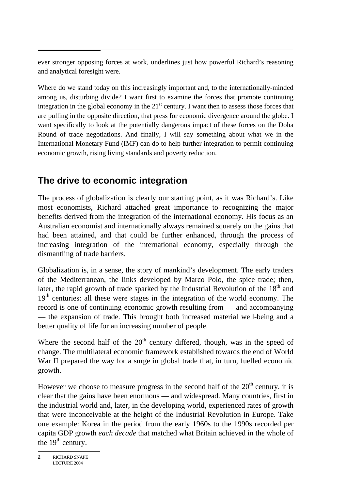ever stronger opposing forces at work, underlines just how powerful Richard's reasoning and analytical foresight were.

Where do we stand today on this increasingly important and, to the internationally-minded among us, disturbing divide? I want first to examine the forces that promote continuing integration in the global economy in the  $21<sup>st</sup>$  century. I want then to assess those forces that are pulling in the opposite direction, that press for economic divergence around the globe. I want specifically to look at the potentially dangerous impact of these forces on the Doha Round of trade negotiations. And finally, I will say something about what we in the International Monetary Fund (IMF) can do to help further integration to permit continuing economic growth, rising living standards and poverty reduction.

## **The drive to economic integration**

The process of globalization is clearly our starting point, as it was Richard's. Like most economists, Richard attached great importance to recognizing the major benefits derived from the integration of the international economy. His focus as an Australian economist and internationally always remained squarely on the gains that had been attained, and that could be further enhanced, through the process of increasing integration of the international economy, especially through the dismantling of trade barriers.

Globalization is, in a sense, the story of mankind's development. The early traders of the Mediterranean, the links developed by Marco Polo, the spice trade; then, later, the rapid growth of trade sparked by the Industrial Revolution of the  $18<sup>th</sup>$  and  $19<sup>th</sup>$  centuries: all these were stages in the integration of the world economy. The record is one of continuing economic growth resulting from — and accompanying — the expansion of trade. This brought both increased material well-being and a better quality of life for an increasing number of people.

Where the second half of the  $20<sup>th</sup>$  century differed, though, was in the speed of change. The multilateral economic framework established towards the end of World War II prepared the way for a surge in global trade that, in turn, fuelled economic growth.

However we choose to measure progress in the second half of the  $20<sup>th</sup>$  century, it is clear that the gains have been enormous — and widespread. Many countries, first in the industrial world and, later, in the developing world, experienced rates of growth that were inconceivable at the height of the Industrial Revolution in Europe. Take one example: Korea in the period from the early 1960s to the 1990s recorded per capita GDP growth *each decade* that matched what Britain achieved in the whole of the  $19<sup>th</sup>$  century.

**<sup>2</sup>** RICHARD SNAPE LECTURE 2004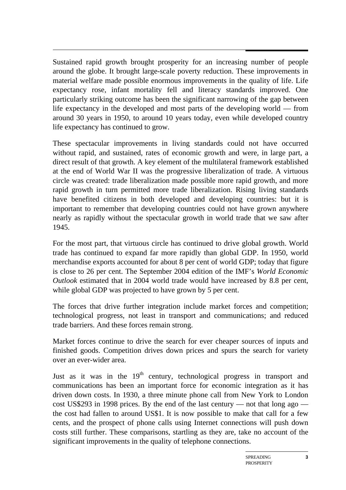$\overline{a}$ Sustained rapid growth brought prosperity for an increasing number of people around the globe. It brought large-scale poverty reduction. These improvements in material welfare made possible enormous improvements in the quality of life. Life expectancy rose, infant mortality fell and literacy standards improved. One particularly striking outcome has been the significant narrowing of the gap between life expectancy in the developed and most parts of the developing world — from around 30 years in 1950, to around 10 years today, even while developed country life expectancy has continued to grow.

These spectacular improvements in living standards could not have occurred without rapid, and sustained, rates of economic growth and were, in large part, a direct result of that growth. A key element of the multilateral framework established at the end of World War II was the progressive liberalization of trade. A virtuous circle was created: trade liberalization made possible more rapid growth, and more rapid growth in turn permitted more trade liberalization. Rising living standards have benefited citizens in both developed and developing countries: but it is important to remember that developing countries could not have grown anywhere nearly as rapidly without the spectacular growth in world trade that we saw after 1945.

For the most part, that virtuous circle has continued to drive global growth. World trade has continued to expand far more rapidly than global GDP. In 1950, world merchandise exports accounted for about 8 per cent of world GDP; today that figure is close to 26 per cent. The September 2004 edition of the IMF's *World Economic Outlook* estimated that in 2004 world trade would have increased by 8.8 per cent, while global GDP was projected to have grown by 5 per cent.

The forces that drive further integration include market forces and competition; technological progress, not least in transport and communications; and reduced trade barriers. And these forces remain strong.

Market forces continue to drive the search for ever cheaper sources of inputs and finished goods. Competition drives down prices and spurs the search for variety over an ever-wider area.

Just as it was in the 19<sup>th</sup> century, technological progress in transport and communications has been an important force for economic integration as it has driven down costs. In 1930, a three minute phone call from New York to London cost US\$293 in 1998 prices. By the end of the last century — not that long ago the cost had fallen to around US\$1. It is now possible to make that call for a few cents, and the prospect of phone calls using Internet connections will push down costs still further. These comparisons, startling as they are, take no account of the significant improvements in the quality of telephone connections.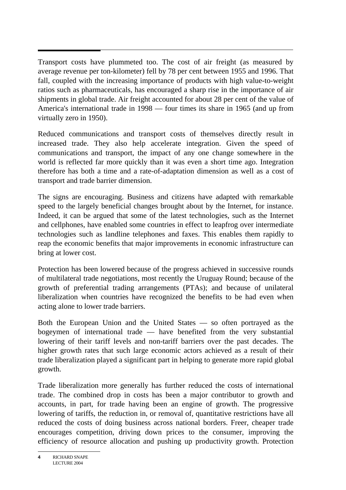$\overline{a}$ Transport costs have plummeted too. The cost of air freight (as measured by average revenue per ton-kilometer) fell by 78 per cent between 1955 and 1996. That fall, coupled with the increasing importance of products with high value-to-weight ratios such as pharmaceuticals, has encouraged a sharp rise in the importance of air shipments in global trade. Air freight accounted for about 28 per cent of the value of America's international trade in 1998 — four times its share in 1965 (and up from virtually zero in 1950).

Reduced communications and transport costs of themselves directly result in increased trade. They also help accelerate integration. Given the speed of communications and transport, the impact of any one change somewhere in the world is reflected far more quickly than it was even a short time ago. Integration therefore has both a time and a rate-of-adaptation dimension as well as a cost of transport and trade barrier dimension.

The signs are encouraging. Business and citizens have adapted with remarkable speed to the largely beneficial changes brought about by the Internet, for instance. Indeed, it can be argued that some of the latest technologies, such as the Internet and cellphones, have enabled some countries in effect to leapfrog over intermediate technologies such as landline telephones and faxes. This enables them rapidly to reap the economic benefits that major improvements in economic infrastructure can bring at lower cost.

Protection has been lowered because of the progress achieved in successive rounds of multilateral trade negotiations, most recently the Uruguay Round; because of the growth of preferential trading arrangements (PTAs); and because of unilateral liberalization when countries have recognized the benefits to be had even when acting alone to lower trade barriers.

Both the European Union and the United States — so often portrayed as the bogeymen of international trade — have benefited from the very substantial lowering of their tariff levels and non-tariff barriers over the past decades. The higher growth rates that such large economic actors achieved as a result of their trade liberalization played a significant part in helping to generate more rapid global growth.

Trade liberalization more generally has further reduced the costs of international trade. The combined drop in costs has been a major contributor to growth and accounts, in part, for trade having been an engine of growth. The progressive lowering of tariffs, the reduction in, or removal of, quantitative restrictions have all reduced the costs of doing business across national borders. Freer, cheaper trade encourages competition, driving down prices to the consumer, improving the efficiency of resource allocation and pushing up productivity growth. Protection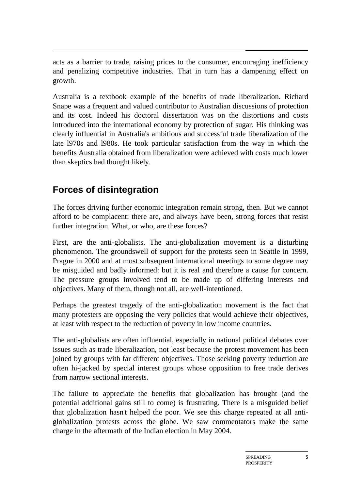acts as a barrier to trade, raising prices to the consumer, encouraging inefficiency and penalizing competitive industries. That in turn has a dampening effect on growth.

Australia is a textbook example of the benefits of trade liberalization. Richard Snape was a frequent and valued contributor to Australian discussions of protection and its cost. Indeed his doctoral dissertation was on the distortions and costs introduced into the international economy by protection of sugar. His thinking was clearly influential in Australia's ambitious and successful trade liberalization of the late l970s and l980s. He took particular satisfaction from the way in which the benefits Australia obtained from liberalization were achieved with costs much lower than skeptics had thought likely.

## **Forces of disintegration**

The forces driving further economic integration remain strong, then. But we cannot afford to be complacent: there are, and always have been, strong forces that resist further integration. What, or who, are these forces?

First, are the anti-globalists. The anti-globalization movement is a disturbing phenomenon. The groundswell of support for the protests seen in Seattle in 1999, Prague in 2000 and at most subsequent international meetings to some degree may be misguided and badly informed: but it is real and therefore a cause for concern. The pressure groups involved tend to be made up of differing interests and objectives. Many of them, though not all, are well-intentioned.

Perhaps the greatest tragedy of the anti-globalization movement is the fact that many protesters are opposing the very policies that would achieve their objectives, at least with respect to the reduction of poverty in low income countries.

The anti-globalists are often influential, especially in national political debates over issues such as trade liberalization, not least because the protest movement has been joined by groups with far different objectives. Those seeking poverty reduction are often hi-jacked by special interest groups whose opposition to free trade derives from narrow sectional interests.

The failure to appreciate the benefits that globalization has brought (and the potential additional gains still to come) is frustrating. There is a misguided belief that globalization hasn't helped the poor. We see this charge repeated at all antiglobalization protests across the globe. We saw commentators make the same charge in the aftermath of the Indian election in May 2004.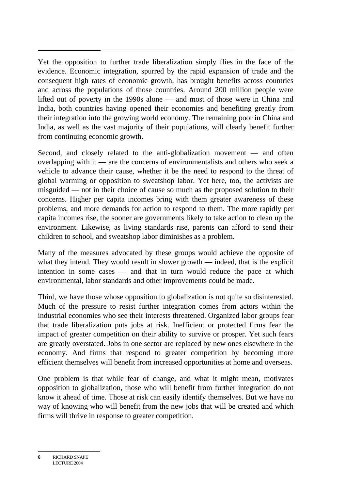$\overline{a}$ Yet the opposition to further trade liberalization simply flies in the face of the evidence. Economic integration, spurred by the rapid expansion of trade and the consequent high rates of economic growth, has brought benefits across countries and across the populations of those countries. Around 200 million people were lifted out of poverty in the 1990s alone — and most of those were in China and India, both countries having opened their economies and benefiting greatly from their integration into the growing world economy. The remaining poor in China and India, as well as the vast majority of their populations, will clearly benefit further from continuing economic growth.

Second, and closely related to the anti-globalization movement — and often overlapping with it — are the concerns of environmentalists and others who seek a vehicle to advance their cause, whether it be the need to respond to the threat of global warming or opposition to sweatshop labor. Yet here, too, the activists are misguided — not in their choice of cause so much as the proposed solution to their concerns. Higher per capita incomes bring with them greater awareness of these problems, and more demands for action to respond to them. The more rapidly per capita incomes rise, the sooner are governments likely to take action to clean up the environment. Likewise, as living standards rise, parents can afford to send their children to school, and sweatshop labor diminishes as a problem.

Many of the measures advocated by these groups would achieve the opposite of what they intend. They would result in slower growth — indeed, that is the explicit intention in some cases — and that in turn would reduce the pace at which environmental, labor standards and other improvements could be made.

Third, we have those whose opposition to globalization is not quite so disinterested. Much of the pressure to resist further integration comes from actors within the industrial economies who see their interests threatened. Organized labor groups fear that trade liberalization puts jobs at risk. Inefficient or protected firms fear the impact of greater competition on their ability to survive or prosper. Yet such fears are greatly overstated. Jobs in one sector are replaced by new ones elsewhere in the economy. And firms that respond to greater competition by becoming more efficient themselves will benefit from increased opportunities at home and overseas.

One problem is that while fear of change, and what it might mean, motivates opposition to globalization, those who will benefit from further integration do not know it ahead of time. Those at risk can easily identify themselves. But we have no way of knowing who will benefit from the new jobs that will be created and which firms will thrive in response to greater competition.

**<sup>6</sup>** RICHARD SNAPE LECTURE 2004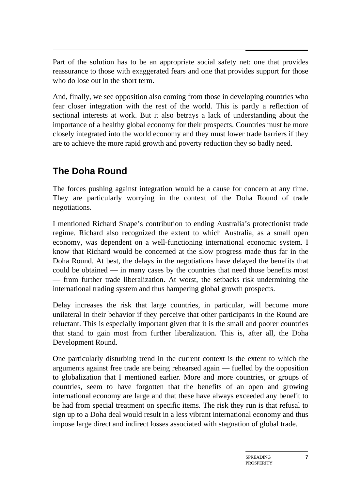$\overline{a}$ Part of the solution has to be an appropriate social safety net: one that provides reassurance to those with exaggerated fears and one that provides support for those who do lose out in the short term.

And, finally, we see opposition also coming from those in developing countries who fear closer integration with the rest of the world. This is partly a reflection of sectional interests at work. But it also betrays a lack of understanding about the importance of a healthy global economy for their prospects. Countries must be more closely integrated into the world economy and they must lower trade barriers if they are to achieve the more rapid growth and poverty reduction they so badly need.

# **The Doha Round**

The forces pushing against integration would be a cause for concern at any time. They are particularly worrying in the context of the Doha Round of trade negotiations.

I mentioned Richard Snape's contribution to ending Australia's protectionist trade regime. Richard also recognized the extent to which Australia, as a small open economy, was dependent on a well-functioning international economic system. I know that Richard would be concerned at the slow progress made thus far in the Doha Round. At best, the delays in the negotiations have delayed the benefits that could be obtained — in many cases by the countries that need those benefits most — from further trade liberalization. At worst, the setbacks risk undermining the international trading system and thus hampering global growth prospects.

Delay increases the risk that large countries, in particular, will become more unilateral in their behavior if they perceive that other participants in the Round are reluctant. This is especially important given that it is the small and poorer countries that stand to gain most from further liberalization. This is, after all, the Doha Development Round.

One particularly disturbing trend in the current context is the extent to which the arguments against free trade are being rehearsed again — fuelled by the opposition to globalization that I mentioned earlier. More and more countries, or groups of countries, seem to have forgotten that the benefits of an open and growing international economy are large and that these have always exceeded any benefit to be had from special treatment on specific items. The risk they run is that refusal to sign up to a Doha deal would result in a less vibrant international economy and thus impose large direct and indirect losses associated with stagnation of global trade.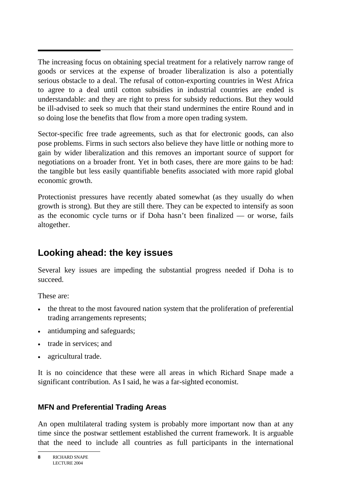$\overline{a}$ The increasing focus on obtaining special treatment for a relatively narrow range of goods or services at the expense of broader liberalization is also a potentially serious obstacle to a deal. The refusal of cotton-exporting countries in West Africa to agree to a deal until cotton subsidies in industrial countries are ended is understandable: and they are right to press for subsidy reductions. But they would be ill-advised to seek so much that their stand undermines the entire Round and in so doing lose the benefits that flow from a more open trading system.

Sector-specific free trade agreements, such as that for electronic goods, can also pose problems. Firms in such sectors also believe they have little or nothing more to gain by wider liberalization and this removes an important source of support for negotiations on a broader front. Yet in both cases, there are more gains to be had: the tangible but less easily quantifiable benefits associated with more rapid global economic growth.

Protectionist pressures have recently abated somewhat (as they usually do when growth is strong). But they are still there. They can be expected to intensify as soon as the economic cycle turns or if Doha hasn't been finalized — or worse, fails altogether.

## **Looking ahead: the key issues**

Several key issues are impeding the substantial progress needed if Doha is to succeed.

These are:

- the threat to the most favoured nation system that the proliferation of preferential trading arrangements represents;
- antidumping and safeguards;
- trade in services; and
- agricultural trade.

It is no coincidence that these were all areas in which Richard Snape made a significant contribution. As I said, he was a far-sighted economist.

### **MFN and Preferential Trading Areas**

An open multilateral trading system is probably more important now than at any time since the postwar settlement established the current framework. It is arguable that the need to include all countries as full participants in the international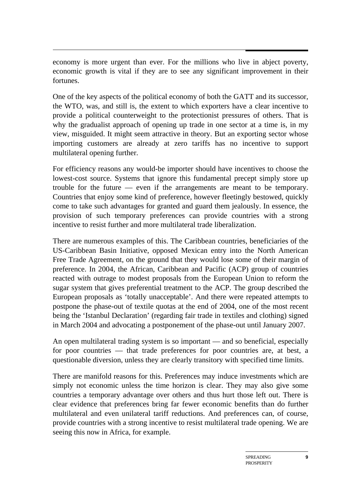economy is more urgent than ever. For the millions who live in abject poverty, economic growth is vital if they are to see any significant improvement in their fortunes.

One of the key aspects of the political economy of both the GATT and its successor, the WTO, was, and still is, the extent to which exporters have a clear incentive to provide a political counterweight to the protectionist pressures of others. That is why the gradualist approach of opening up trade in one sector at a time is, in my view, misguided. It might seem attractive in theory. But an exporting sector whose importing customers are already at zero tariffs has no incentive to support multilateral opening further.

For efficiency reasons any would-be importer should have incentives to choose the lowest-cost source. Systems that ignore this fundamental precept simply store up trouble for the future — even if the arrangements are meant to be temporary. Countries that enjoy some kind of preference, however fleetingly bestowed, quickly come to take such advantages for granted and guard them jealously. In essence, the provision of such temporary preferences can provide countries with a strong incentive to resist further and more multilateral trade liberalization.

There are numerous examples of this. The Caribbean countries, beneficiaries of the US-Caribbean Basin Initiative, opposed Mexican entry into the North American Free Trade Agreement, on the ground that they would lose some of their margin of preference. In 2004, the African, Caribbean and Pacific (ACP) group of countries reacted with outrage to modest proposals from the European Union to reform the sugar system that gives preferential treatment to the ACP. The group described the European proposals as 'totally unacceptable'. And there were repeated attempts to postpone the phase-out of textile quotas at the end of 2004, one of the most recent being the 'Istanbul Declaration' (regarding fair trade in textiles and clothing) signed in March 2004 and advocating a postponement of the phase-out until January 2007.

An open multilateral trading system is so important — and so beneficial, especially for poor countries — that trade preferences for poor countries are, at best, a questionable diversion, unless they are clearly transitory with specified time limits.

There are manifold reasons for this. Preferences may induce investments which are simply not economic unless the time horizon is clear. They may also give some countries a temporary advantage over others and thus hurt those left out. There is clear evidence that preferences bring far fewer economic benefits than do further multilateral and even unilateral tariff reductions. And preferences can, of course, provide countries with a strong incentive to resist multilateral trade opening. We are seeing this now in Africa, for example.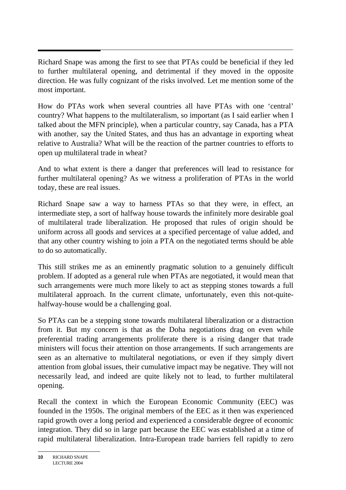$\overline{a}$ Richard Snape was among the first to see that PTAs could be beneficial if they led to further multilateral opening, and detrimental if they moved in the opposite direction. He was fully cognizant of the risks involved. Let me mention some of the most important.

How do PTAs work when several countries all have PTAs with one 'central' country? What happens to the multilateralism, so important (as I said earlier when I talked about the MFN principle), when a particular country, say Canada, has a PTA with another, say the United States, and thus has an advantage in exporting wheat relative to Australia? What will be the reaction of the partner countries to efforts to open up multilateral trade in wheat?

And to what extent is there a danger that preferences will lead to resistance for further multilateral opening? As we witness a proliferation of PTAs in the world today, these are real issues.

Richard Snape saw a way to harness PTAs so that they were, in effect, an intermediate step, a sort of halfway house towards the infinitely more desirable goal of multilateral trade liberalization. He proposed that rules of origin should be uniform across all goods and services at a specified percentage of value added, and that any other country wishing to join a PTA on the negotiated terms should be able to do so automatically.

This still strikes me as an eminently pragmatic solution to a genuinely difficult problem. If adopted as a general rule when PTAs are negotiated, it would mean that such arrangements were much more likely to act as stepping stones towards a full multilateral approach. In the current climate, unfortunately, even this not-quitehalfway-house would be a challenging goal.

So PTAs can be a stepping stone towards multilateral liberalization or a distraction from it. But my concern is that as the Doha negotiations drag on even while preferential trading arrangements proliferate there is a rising danger that trade ministers will focus their attention on those arrangements. If such arrangements are seen as an alternative to multilateral negotiations, or even if they simply divert attention from global issues, their cumulative impact may be negative. They will not necessarily lead, and indeed are quite likely not to lead, to further multilateral opening.

Recall the context in which the European Economic Community (EEC) was founded in the 1950s. The original members of the EEC as it then was experienced rapid growth over a long period and experienced a considerable degree of economic integration. They did so in large part because the EEC was established at a time of rapid multilateral liberalization. Intra-European trade barriers fell rapidly to zero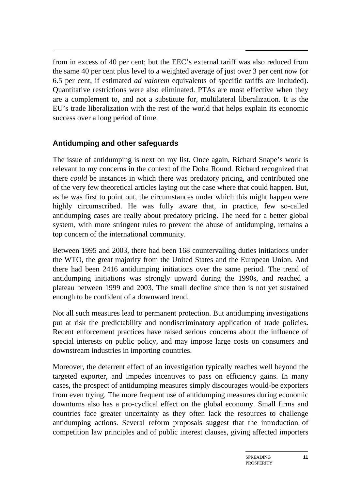$\overline{a}$ from in excess of 40 per cent; but the EEC's external tariff was also reduced from the same 40 per cent plus level to a weighted average of just over 3 per cent now (or 6.5 per cent, if estimated *ad valorem* equivalents of specific tariffs are included). Quantitative restrictions were also eliminated. PTAs are most effective when they are a complement to, and not a substitute for, multilateral liberalization. It is the EU's trade liberalization with the rest of the world that helps explain its economic success over a long period of time.

#### **Antidumping and other safeguards**

The issue of antidumping is next on my list. Once again, Richard Snape's work is relevant to my concerns in the context of the Doha Round. Richard recognized that there *could* be instances in which there was predatory pricing, and contributed one of the very few theoretical articles laying out the case where that could happen. But, as he was first to point out, the circumstances under which this might happen were highly circumscribed. He was fully aware that, in practice, few so-called antidumping cases are really about predatory pricing. The need for a better global system, with more stringent rules to prevent the abuse of antidumping, remains a top concern of the international community.

Between 1995 and 2003, there had been 168 countervailing duties initiations under the WTO, the great majority from the United States and the European Union. And there had been 2416 antidumping initiations over the same period. The trend of antidumping initiations was strongly upward during the 1990s, and reached a plateau between 1999 and 2003. The small decline since then is not yet sustained enough to be confident of a downward trend.

Not all such measures lead to permanent protection. But antidumping investigations put at risk the predictability and nondiscriminatory application of trade policies**.** Recent enforcement practices have raised serious concerns about the influence of special interests on public policy, and may impose large costs on consumers and downstream industries in importing countries.

Moreover, the deterrent effect of an investigation typically reaches well beyond the targeted exporter, and impedes incentives to pass on efficiency gains. In many cases, the prospect of antidumping measures simply discourages would-be exporters from even trying. The more frequent use of antidumping measures during economic downturns also has a pro-cyclical effect on the global economy. Small firms and countries face greater uncertainty as they often lack the resources to challenge antidumping actions. Several reform proposals suggest that the introduction of competition law principles and of public interest clauses, giving affected importers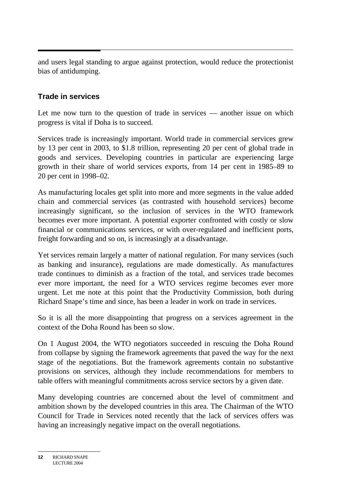and users legal standing to argue against protection, would reduce the protectionist bias of antidumping.

#### **Trade in services**

Let me now turn to the question of trade in services — another issue on which progress is vital if Doha is to succeed.

Services trade is increasingly important. World trade in commercial services grew by 13 per cent in 2003, to \$1.8 trillion, representing 20 per cent of global trade in goods and services. Developing countries in particular are experiencing large growth in their share of world services exports, from 14 per cent in 1985–89 to 20 per cent in 1998–02.

As manufacturing locales get split into more and more segments in the value added chain and commercial services (as contrasted with household services) become increasingly significant, so the inclusion of services in the WTO framework becomes ever more important. A potential exporter confronted with costly or slow financial or communications services, or with over-regulated and inefficient ports, freight forwarding and so on, is increasingly at a disadvantage.

Yet services remain largely a matter of national regulation. For many services (such as banking and insurance), regulations are made domestically. As manufactures trade continues to diminish as a fraction of the total, and services trade becomes ever more important, the need for a WTO services regime becomes ever more urgent. Let me note at this point that the Productivity Commission, both during Richard Snape's time and since, has been a leader in work on trade in services.

So it is all the more disappointing that progress on a services agreement in the context of the Doha Round has been so slow.

On 1 August 2004, the WTO negotiators succeeded in rescuing the Doha Round from collapse by signing the framework agreements that paved the way for the next stage of the negotiations. But the framework agreements contain no substantive provisions on services, although they include recommendations for members to table offers with meaningful commitments across service sectors by a given date.

Many developing countries are concerned about the level of commitment and ambition shown by the developed countries in this area. The Chairman of the WTO Council for Trade in Services noted recently that the lack of services offers was having an increasingly negative impact on the overall negotiations.

**<sup>12</sup>** RICHARD SNAPE LECTURE 2004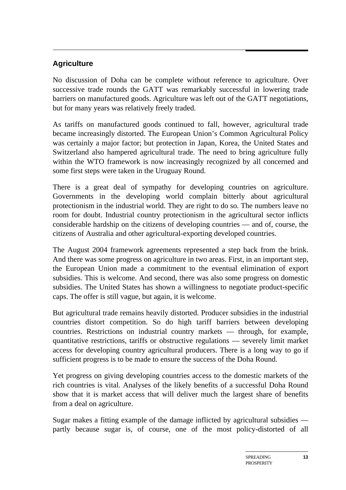#### **Agriculture**

No discussion of Doha can be complete without reference to agriculture. Over successive trade rounds the GATT was remarkably successful in lowering trade barriers on manufactured goods. Agriculture was left out of the GATT negotiations, but for many years was relatively freely traded.

As tariffs on manufactured goods continued to fall, however, agricultural trade became increasingly distorted. The European Union's Common Agricultural Policy was certainly a major factor; but protection in Japan, Korea, the United States and Switzerland also hampered agricultural trade. The need to bring agriculture fully within the WTO framework is now increasingly recognized by all concerned and some first steps were taken in the Uruguay Round.

There is a great deal of sympathy for developing countries on agriculture. Governments in the developing world complain bitterly about agricultural protectionism in the industrial world. They are right to do so. The numbers leave no room for doubt. Industrial country protectionism in the agricultural sector inflicts considerable hardship on the citizens of developing countries — and of, course, the citizens of Australia and other agricultural-exporting developed countries.

The August 2004 framework agreements represented a step back from the brink. And there was some progress on agriculture in two areas. First, in an important step, the European Union made a commitment to the eventual elimination of export subsidies. This is welcome. And second, there was also some progress on domestic subsidies. The United States has shown a willingness to negotiate product-specific caps. The offer is still vague, but again, it is welcome.

But agricultural trade remains heavily distorted. Producer subsidies in the industrial countries distort competition. So do high tariff barriers between developing countries. Restrictions on industrial country markets — through, for example, quantitative restrictions, tariffs or obstructive regulations — severely limit market access for developing country agricultural producers. There is a long way to go if sufficient progress is to be made to ensure the success of the Doha Round.

Yet progress on giving developing countries access to the domestic markets of the rich countries is vital. Analyses of the likely benefits of a successful Doha Round show that it is market access that will deliver much the largest share of benefits from a deal on agriculture.

Sugar makes a fitting example of the damage inflicted by agricultural subsidies partly because sugar is, of course, one of the most policy-distorted of all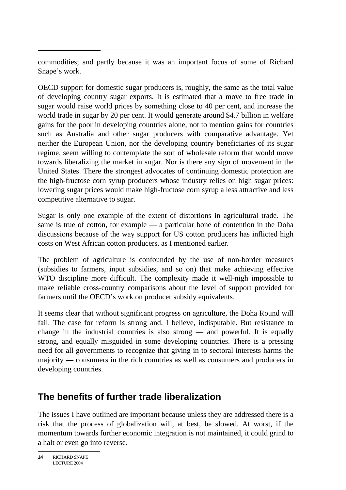commodities; and partly because it was an important focus of some of Richard Snape's work.

OECD support for domestic sugar producers is, roughly, the same as the total value of developing country sugar exports. It is estimated that a move to free trade in sugar would raise world prices by something close to 40 per cent, and increase the world trade in sugar by 20 per cent. It would generate around \$4.7 billion in welfare gains for the poor in developing countries alone, not to mention gains for countries such as Australia and other sugar producers with comparative advantage. Yet neither the European Union, nor the developing country beneficiaries of its sugar regime, seem willing to contemplate the sort of wholesale reform that would move towards liberalizing the market in sugar. Nor is there any sign of movement in the United States. There the strongest advocates of continuing domestic protection are the high-fructose corn syrup producers whose industry relies on high sugar prices: lowering sugar prices would make high-fructose corn syrup a less attractive and less competitive alternative to sugar.

Sugar is only one example of the extent of distortions in agricultural trade. The same is true of cotton, for example — a particular bone of contention in the Doha discussions because of the way support for US cotton producers has inflicted high costs on West African cotton producers, as I mentioned earlier.

The problem of agriculture is confounded by the use of non-border measures (subsidies to farmers, input subsidies, and so on) that make achieving effective WTO discipline more difficult. The complexity made it well-nigh impossible to make reliable cross-country comparisons about the level of support provided for farmers until the OECD's work on producer subsidy equivalents.

It seems clear that without significant progress on agriculture, the Doha Round will fail. The case for reform is strong and, I believe, indisputable. But resistance to change in the industrial countries is also strong — and powerful. It is equally strong, and equally misguided in some developing countries. There is a pressing need for all governments to recognize that giving in to sectoral interests harms the majority — consumers in the rich countries as well as consumers and producers in developing countries.

## **The benefits of further trade liberalization**

The issues I have outlined are important because unless they are addressed there is a risk that the process of globalization will, at best, be slowed. At worst, if the momentum towards further economic integration is not maintained, it could grind to a halt or even go into reverse.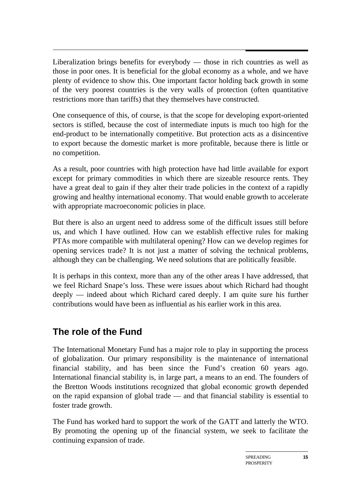$\overline{a}$ Liberalization brings benefits for everybody — those in rich countries as well as those in poor ones. It is beneficial for the global economy as a whole, and we have plenty of evidence to show this. One important factor holding back growth in some of the very poorest countries is the very walls of protection (often quantitative restrictions more than tariffs) that they themselves have constructed.

One consequence of this, of course, is that the scope for developing export-oriented sectors is stifled, because the cost of intermediate inputs is much too high for the end-product to be internationally competitive. But protection acts as a disincentive to export because the domestic market is more profitable, because there is little or no competition.

As a result, poor countries with high protection have had little available for export except for primary commodities in which there are sizeable resource rents. They have a great deal to gain if they alter their trade policies in the context of a rapidly growing and healthy international economy. That would enable growth to accelerate with appropriate macroeconomic policies in place.

But there is also an urgent need to address some of the difficult issues still before us, and which I have outlined. How can we establish effective rules for making PTAs more compatible with multilateral opening? How can we develop regimes for opening services trade? It is not just a matter of solving the technical problems, although they can be challenging. We need solutions that are politically feasible.

It is perhaps in this context, more than any of the other areas I have addressed, that we feel Richard Snape's loss. These were issues about which Richard had thought deeply — indeed about which Richard cared deeply. I am quite sure his further contributions would have been as influential as his earlier work in this area.

## **The role of the Fund**

The International Monetary Fund has a major role to play in supporting the process of globalization. Our primary responsibility is the maintenance of international financial stability, and has been since the Fund's creation 60 years ago. International financial stability is, in large part, a means to an end. The founders of the Bretton Woods institutions recognized that global economic growth depended on the rapid expansion of global trade — and that financial stability is essential to foster trade growth.

The Fund has worked hard to support the work of the GATT and latterly the WTO. By promoting the opening up of the financial system, we seek to facilitate the continuing expansion of trade.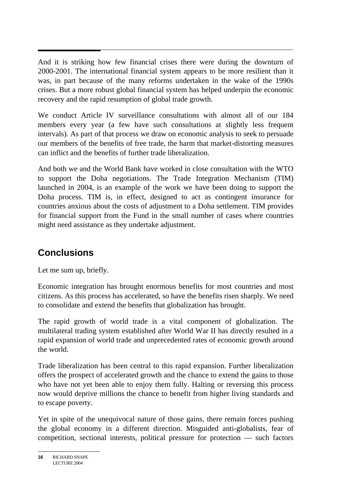And it is striking how few financial crises there were during the downturn of 2000-2001. The international financial system appears to be more resilient than it was, in part because of the many reforms undertaken in the wake of the 1990s crises. But a more robust global financial system has helped underpin the economic recovery and the rapid resumption of global trade growth.

We conduct Article IV surveillance consultations with almost all of our 184 members every year (a few have such consultations at slightly less frequent intervals). As part of that process we draw on economic analysis to seek to persuade our members of the benefits of free trade, the harm that market-distorting measures can inflict and the benefits of further trade liberalization.

And both we and the World Bank have worked in close consultation with the WTO to support the Doha negotiations. The Trade Integration Mechanism (TIM) launched in 2004, is an example of the work we have been doing to support the Doha process. TIM is, in effect, designed to act as contingent insurance for countries anxious about the costs of adjustment to a Doha settlement. TIM provides for financial support from the Fund in the small number of cases where countries might need assistance as they undertake adjustment.

# **Conclusions**

Let me sum up, briefly.

Economic integration has brought enormous benefits for most countries and most citizens. As this process has accelerated, so have the benefits risen sharply. We need to consolidate and extend the benefits that globalization has brought.

The rapid growth of world trade is a vital component of globalization. The multilateral trading system established after World War II has directly resulted in a rapid expansion of world trade and unprecedented rates of economic growth around the world.

Trade liberalization has been central to this rapid expansion. Further liberalization offers the prospect of accelerated growth and the chance to extend the gains to those who have not yet been able to enjoy them fully. Halting or reversing this process now would deprive millions the chance to benefit from higher living standards and to escape poverty.

Yet in spite of the unequivocal nature of those gains, there remain forces pushing the global economy in a different direction. Misguided anti-globalists, fear of competition, sectional interests, political pressure for protection — such factors

**<sup>16</sup>** RICHARD SNAPE LECTURE 2004